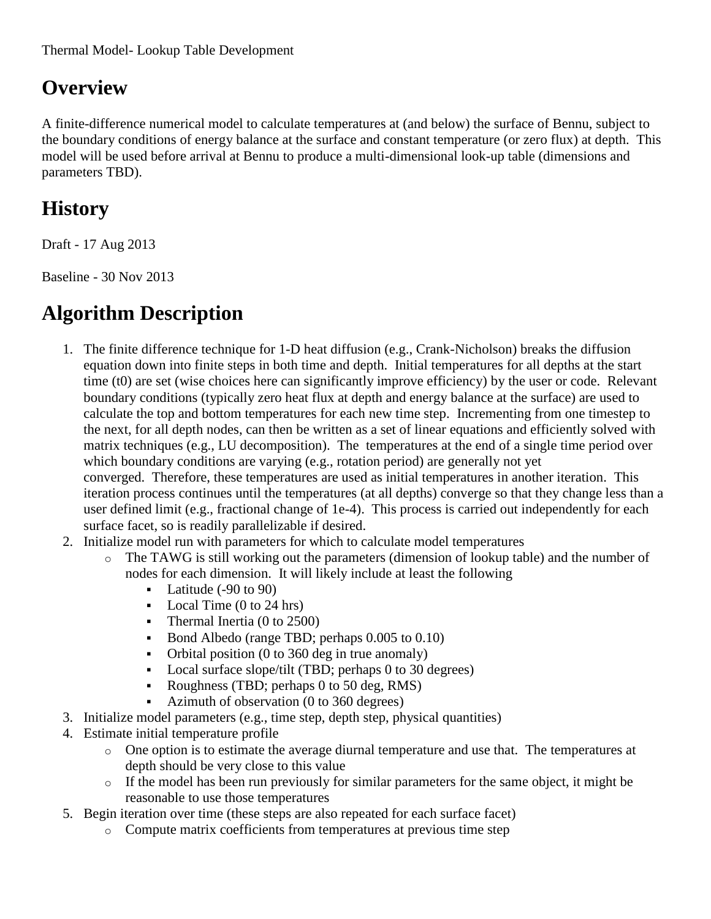## **Overview**

A finite-difference numerical model to calculate temperatures at (and below) the surface of Bennu, subject to the boundary conditions of energy balance at the surface and constant temperature (or zero flux) at depth. This model will be used before arrival at Bennu to produce a multi-dimensional look-up table (dimensions and parameters TBD).

# **History**

Draft - 17 Aug 2013

Baseline - 30 Nov 2013

## **Algorithm Description**

- 1. The finite difference technique for 1-D heat diffusion (e.g., Crank-Nicholson) breaks the diffusion equation down into finite steps in both time and depth. Initial temperatures for all depths at the start time (t0) are set (wise choices here can significantly improve efficiency) by the user or code. Relevant boundary conditions (typically zero heat flux at depth and energy balance at the surface) are used to calculate the top and bottom temperatures for each new time step. Incrementing from one timestep to the next, for all depth nodes, can then be written as a set of linear equations and efficiently solved with matrix techniques (e.g., LU decomposition). The temperatures at the end of a single time period over which boundary conditions are varying (e.g., rotation period) are generally not yet converged. Therefore, these temperatures are used as initial temperatures in another iteration. This iteration process continues until the temperatures (at all depths) converge so that they change less than a user defined limit (e.g., fractional change of 1e-4). This process is carried out independently for each surface facet, so is readily parallelizable if desired.
- 2. Initialize model run with parameters for which to calculate model temperatures
	- o The TAWG is still working out the parameters (dimension of lookup table) and the number of nodes for each dimension. It will likely include at least the following
		- $\blacksquare$  Latitude (-90 to 90)
		- $\blacksquare$  Local Time (0 to 24 hrs)
		- Thermal Inertia (0 to 2500)
		- Bond Albedo (range TBD; perhaps 0.005 to 0.10)
		- Orbital position (0 to 360 deg in true anomaly)
		- Local surface slope/tilt (TBD; perhaps 0 to 30 degrees)
		- Roughness (TBD; perhaps 0 to 50 deg, RMS)
		- Azimuth of observation  $(0 \text{ to } 360 \text{ degrees})$
- 3. Initialize model parameters (e.g., time step, depth step, physical quantities)
- 4. Estimate initial temperature profile
	- o One option is to estimate the average diurnal temperature and use that. The temperatures at depth should be very close to this value
	- o If the model has been run previously for similar parameters for the same object, it might be reasonable to use those temperatures
- 5. Begin iteration over time (these steps are also repeated for each surface facet)
	- o Compute matrix coefficients from temperatures at previous time step